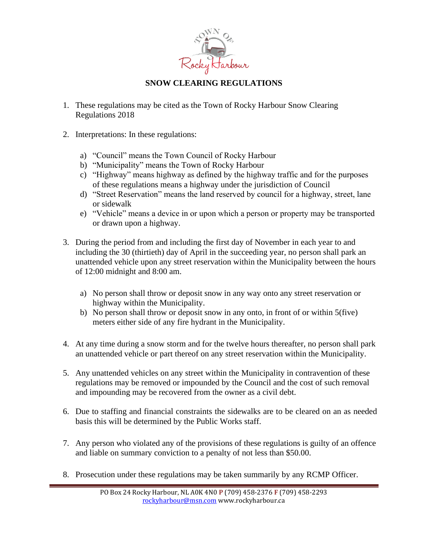

## **SNOW CLEARING REGULATIONS**

- 1. These regulations may be cited as the Town of Rocky Harbour Snow Clearing Regulations 2018
- 2. Interpretations: In these regulations:
	- a) "Council" means the Town Council of Rocky Harbour
	- b) "Municipality" means the Town of Rocky Harbour
	- c) "Highway" means highway as defined by the highway traffic and for the purposes of these regulations means a highway under the jurisdiction of Council
	- d) "Street Reservation" means the land reserved by council for a highway, street, lane or sidewalk
	- e) "Vehicle" means a device in or upon which a person or property may be transported or drawn upon a highway.
- 3. During the period from and including the first day of November in each year to and including the 30 (thirtieth) day of April in the succeeding year, no person shall park an unattended vehicle upon any street reservation within the Municipality between the hours of 12:00 midnight and 8:00 am.
	- a) No person shall throw or deposit snow in any way onto any street reservation or highway within the Municipality.
	- b) No person shall throw or deposit snow in any onto, in front of or within 5(five) meters either side of any fire hydrant in the Municipality.
- 4. At any time during a snow storm and for the twelve hours thereafter, no person shall park an unattended vehicle or part thereof on any street reservation within the Municipality.
- 5. Any unattended vehicles on any street within the Municipality in contravention of these regulations may be removed or impounded by the Council and the cost of such removal and impounding may be recovered from the owner as a civil debt.
- 6. Due to staffing and financial constraints the sidewalks are to be cleared on an as needed basis this will be determined by the Public Works staff.
- 7. Any person who violated any of the provisions of these regulations is guilty of an offence and liable on summary conviction to a penalty of not less than \$50.00.
- 8. Prosecution under these regulations may be taken summarily by any RCMP Officer.